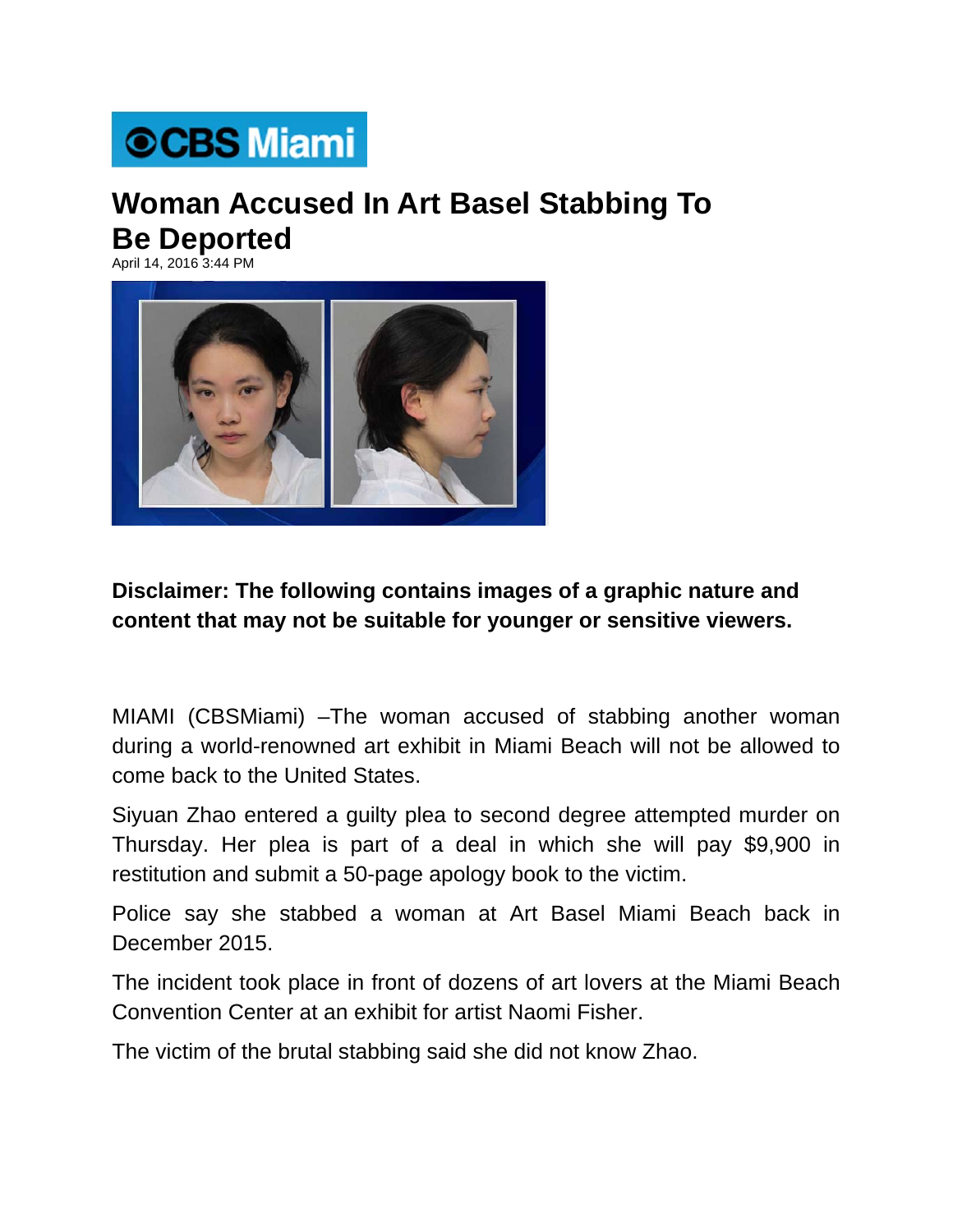## **©CBS Miami**

## **Woman Accused In Art Basel Stabbing To Be Deported**

April 14, 2016 3:44 PM



## **Disclaimer: The following contains images of a graphic nature and content that may not be suitable for younger or sensitive viewers.**

MIAMI (CBSMiami) –The woman accused of stabbing another woman during a world-renowned art exhibit in Miami Beach will not be allowed to come back to the United States.

Siyuan Zhao entered a guilty plea to second degree attempted murder on Thursday. Her plea is part of a deal in which she will pay \$9,900 in restitution and submit a 50-page apology book to the victim.

Police say she stabbed a woman at Art Basel Miami Beach back in December 2015.

The incident took place in front of dozens of art lovers at the Miami Beach Convention Center at an exhibit for artist Naomi Fisher.

The victim of the brutal stabbing said she did not know Zhao.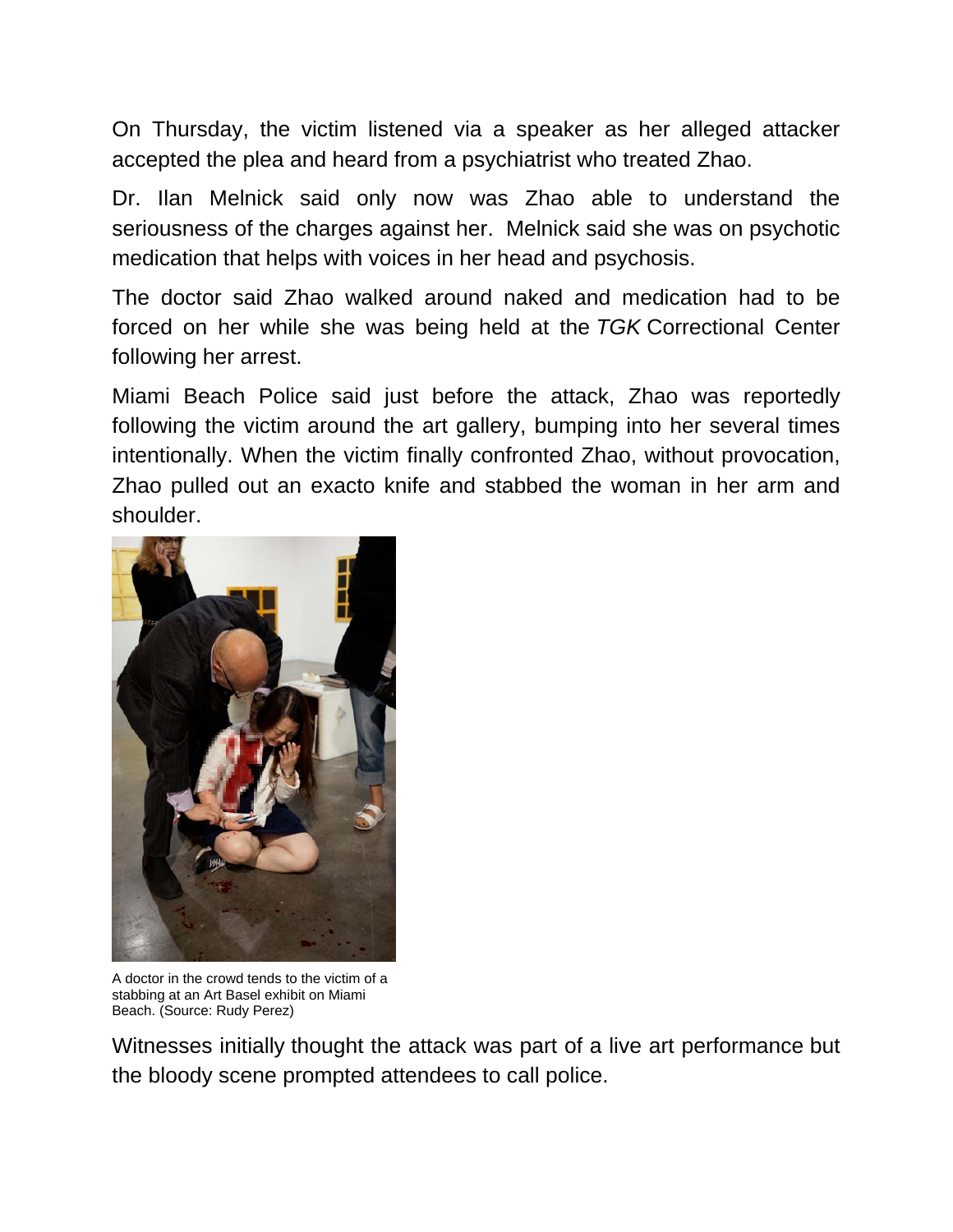On Thursday, the victim listened via a speaker as her alleged attacker accepted the plea and heard from a psychiatrist who treated Zhao.

Dr. Ilan Melnick said only now was Zhao able to understand the seriousness of the charges against her. Melnick said she was on psychotic medication that helps with voices in her head and psychosis.

The doctor said Zhao walked around naked and medication had to be forced on her while she was being held at the *TGK* Correctional Center following her arrest.

Miami Beach Police said just before the attack, Zhao was reportedly following the victim around the art gallery, bumping into her several times intentionally. When the victim finally confronted Zhao, without provocation, Zhao pulled out an exacto knife and stabbed the woman in her arm and shoulder.



A doctor in the crowd tends to the victim of a stabbing at an Art Basel exhibit on Miami Beach. (Source: Rudy Perez)

Witnesses initially thought the attack was part of a live art performance but the bloody scene prompted attendees to call police.